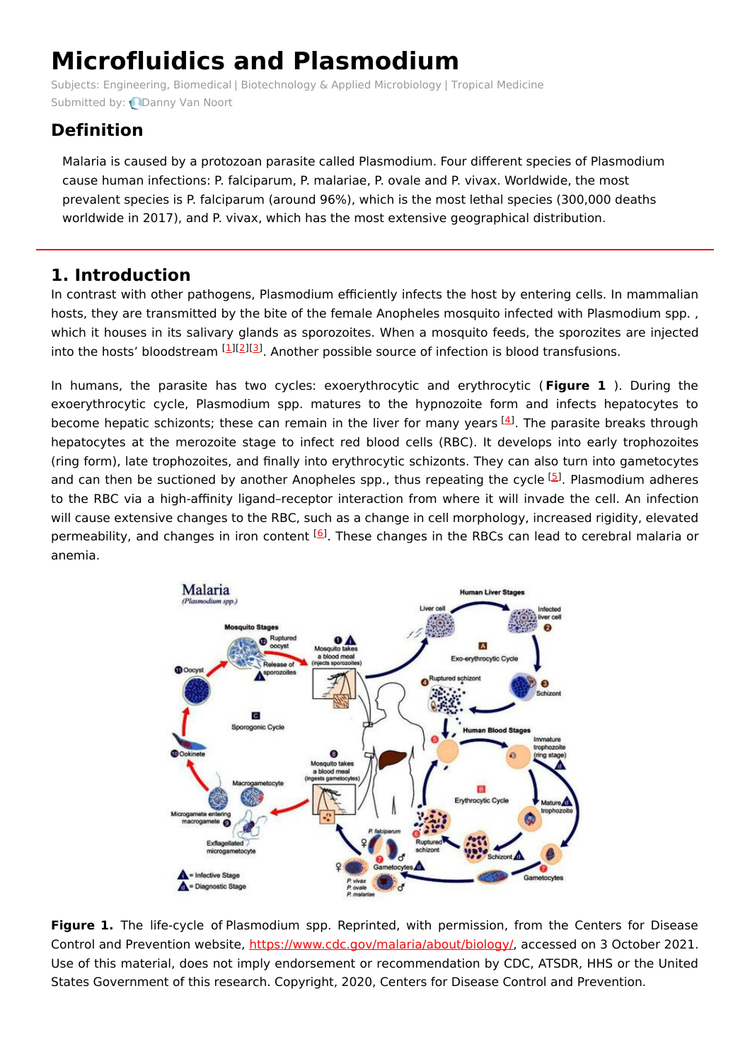# **Microfluidics and Plasmodium**

Subjects: [Engineering,](https://encyclopedia.pub/item/subject/82) Biomedical | [Biotechnology](https://encyclopedia.pub/item/subject/53) & Applied Microbiology | Tropical [Medicine](https://encyclopedia.pub/item/subject/167) Submitted by: **[Danny](https://sciprofiles.com/profile/405053) Van Noort** 

## **Definition**

Malaria is caused by a protozoan parasite called Plasmodium. Four different species of Plasmodium cause human infections: P. falciparum, P. malariae, P. ovale and P. vivax. Worldwide, the most prevalent species is P. falciparum (around 96%), which is the most lethal species (300,000 deaths worldwide in 2017), and P. vivax, which has the most extensive geographical distribution.

## **1. Introduction**

In contrast with other pathogens, Plasmodium efficiently infects the host by entering cells. In mammalian hosts, they are transmitted by the bite of the female Anopheles mosquito infected with Plasmodium spp. , which it houses in its salivary glands as sporozoites. When a mosquito feeds, the sporozites are injected into the hosts' bloodstream [\[1](#page-3-0)][[2](#page-3-1)][\[3](#page-3-2)]. Another possible source of infection is blood transfusions.

In humans, the parasite has two cycles: exoerythrocytic and erythrocytic ( **Figure 1** ). During the exoerythrocytic cycle, Plasmodium spp. matures to the hypnozoite form and infects hepatocytes to become hepatic schizonts; these can remain in the liver for many years  $[4]$  $[4]$ . The parasite breaks through hepatocytes at the merozoite stage to infect red blood cells (RBC). It develops into early trophozoites (ring form), late trophozoites, and finally into erythrocytic schizonts. They can also turn into gametocytes and can then be suctioned by another Anopheles spp., thus repeating the cycle <sup>[\[5](#page-3-4)]</sup>. Plasmodium adheres to the RBC via a high-affinity ligand–receptor interaction from where it will invade the cell. An infection will cause extensive changes to the RBC, such as a change in cell morphology, increased rigidity, elevated permeability, and changes in iron content <sup>[\[6](#page-3-5)]</sup>. These changes in the RBCs can lead to cerebral malaria or anemia.



**Figure 1.** The life-cycle of Plasmodium spp. Reprinted, with permission, from the Centers for Disease Control and Prevention website, <https://www.cdc.gov/malaria/about/biology/>, accessed on 3 October 2021. Use of this material, does not imply endorsement or recommendation by CDC, ATSDR, HHS or the United States Government of this research. Copyright, 2020, Centers for Disease Control and Prevention.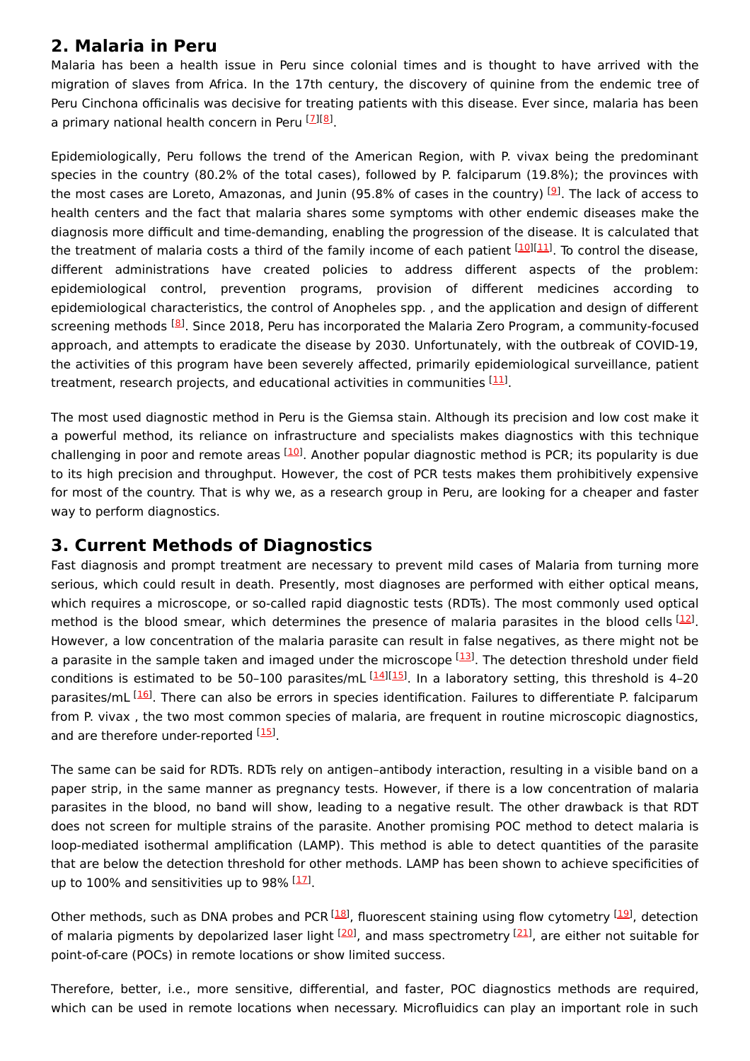### **2. Malaria in Peru**

Malaria has been a health issue in Peru since colonial times and is thought to have arrived with the migration of slaves from Africa. In the 17th century, the discovery of quinine from the endemic tree of Peru Cinchona officinalis was decisive for treating patients with this disease. Ever since, malaria has been a primary national health concern in Peru [\[7](#page-3-6)][\[8](#page-3-7)].

Epidemiologically, Peru follows the trend of the American Region, with P. vivax being the predominant species in the country (80.2% of the total cases), followed by P. falciparum (19.8%); the provinces with the most cases are Loreto, Amazonas, and Junin (95.8% of cases in the country) <sup>[<u>9</u>]</sup>. The lack of access to health centers and the fact that malaria shares some symptoms with other endemic diseases make the diagnosis more difficult and time-demanding, enabling the progression of the disease. It is calculated that the treatment of malaria costs a third of the family income of each patient [\[10](#page-3-9)][\[11](#page-3-10)]. To control the disease, different administrations have created policies to address different aspects of the problem: epidemiological control, prevention programs, provision of different medicines according to epidemiological characteristics, the control of Anopheles spp. , and the application and design of different screening methods <sup>[[8](#page-3-7)]</sup>. Since 2018, Peru has incorporated the Malaria Zero Program, a community-focused approach, and attempts to eradicate the disease by 2030. Unfortunately, with the outbreak of COVID-19, the activities of this program have been severely affected, primarily epidemiological surveillance, patient treatment, research projects, and educational activities in communities [[11](#page-3-10)].

The most used diagnostic method in Peru is the Giemsa stain. Although its precision and low cost make it a powerful method, its reliance on infrastructure and specialists makes diagnostics with this technique challenging in poor and remote areas <sup>[\[10](#page-3-9)]</sup>. Another popular diagnostic method is PCR; its popularity is due to its high precision and throughput. However, the cost of PCR tests makes them prohibitively expensive for most of the country. That is why we, as a research group in Peru, are looking for a cheaper and faster way to perform diagnostics.

#### **3. Current Methods of Diagnostics**

Fast diagnosis and prompt treatment are necessary to prevent mild cases of Malaria from turning more serious, which could result in death. Presently, most diagnoses are performed with either optical means, which requires a microscope, or so-called rapid diagnostic tests (RDTs). The most commonly used optical method is the blood smear, which determines the presence of malaria parasites in the blood cells  $[12]$  $[12]$ . However, a low concentration of the malaria parasite can result in false negatives, as there might not be a parasite in the sample taken and imaged under the microscope [\[13\]](#page-3-12). The detection threshold under field conditions is estimated to be 50-100 parasites/mL [[14](#page-3-13)][\[15](#page-3-14)]. In a laboratory setting, this threshold is 4-20 parasites/mL [[16\]](#page-3-15). There can also be errors in species identification. Failures to differentiate P. falciparum from P. vivax , the two most common species of malaria, are frequent in routine microscopic diagnostics, and are therefore under-reported [\[15](#page-3-14)].

The same can be said for RDTs. RDTs rely on antigen–antibody interaction, resulting in a visible band on a paper strip, in the same manner as pregnancy tests. However, if there is a low concentration of malaria parasites in the blood, no band will show, leading to a negative result. The other drawback is that RDT does not screen for multiple strains of the parasite. Another promising POC method to detect malaria is loop-mediated isothermal amplification (LAMP). This method is able to detect quantities of the parasite that are below the detection threshold for other methods. LAMP has been shown to achieve specificities of up to 100% and sensitivities up to 98% <sup>[[17\]](#page-3-16)</sup>.

Other methods, such as DNA probes and PCR <sup>[[18](#page-3-17)]</sup>, fluorescent staining using flow cytometry <sup>[[19](#page-3-18)]</sup>, detection of malaria pigments by depolarized laser light <sup>[[20\]](#page-3-19)</sup>, and mass spectrometry <sup>[[21](#page-3-20)]</sup>, are either not suitable for point-of-care (POCs) in remote locations or show limited success.

Therefore, better, i.e., more sensitive, differential, and faster, POC diagnostics methods are required, which can be used in remote locations when necessary. Microfluidics can play an important role in such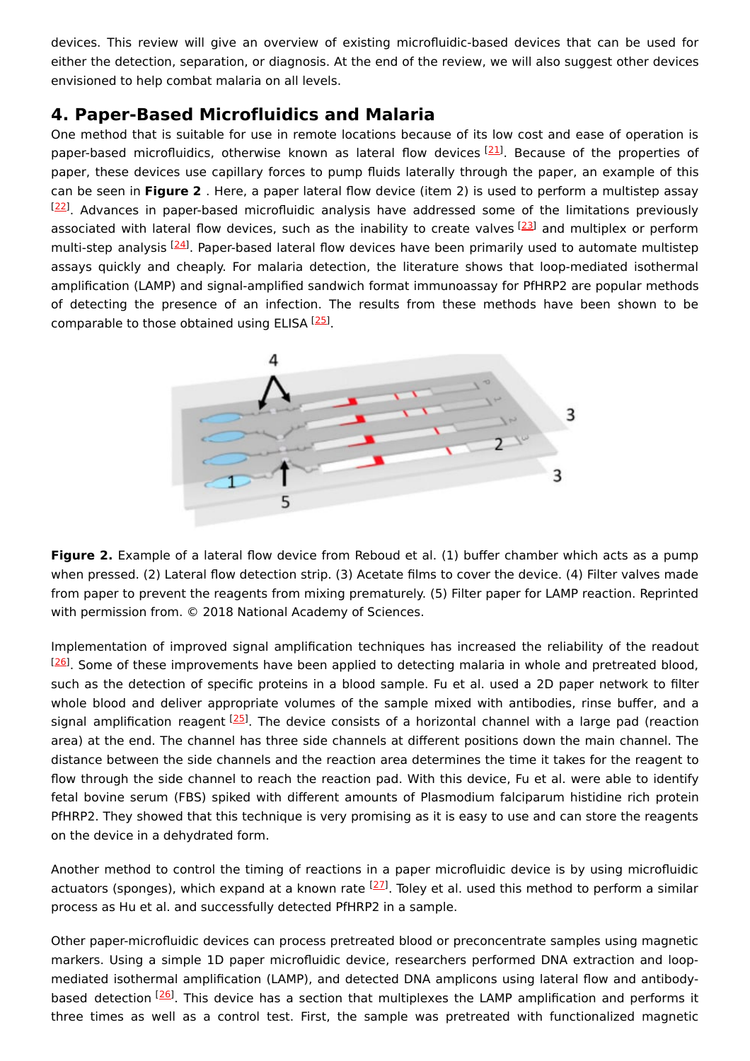devices. This review will give an overview of existing microfluidic-based devices that can be used for either the detection, separation, or diagnosis. At the end of the review, we will also suggest other devices envisioned to help combat malaria on all levels.

#### **4. Paper-Based Microfluidics and Malaria**

One method that is suitable for use in remote locations because of its low cost and ease of operation is paper-based microfluidics, otherwise known as lateral flow devices <sup>[\[21](#page-3-20)]</sup>. Because of the properties of paper, these devices use capillary forces to pump fluids laterally through the paper, an example of this can be seen in **Figure 2** . Here, a paper lateral flow device (item 2) is used to perform a multistep assay  $[22]$  $[22]$  $[22]$ . Advances in paper-based microfluidic analysis have addressed some of the limitations previously associated with lateral flow devices, such as the inability to create valves [\[23](#page-4-1)] and multiplex or perform multi-step analysis <sup>[\[24](#page-4-2)]</sup>. Paper-based lateral flow devices have been primarily used to automate multistep assays quickly and cheaply. For malaria detection, the literature shows that loop-mediated isothermal amplification (LAMP) and signal-amplified sandwich format immunoassay for PfHRP2 are popular methods of detecting the presence of an infection. The results from these methods have been shown to be comparable to those obtained using ELISA [[25\]](#page-4-3).



**Figure 2.** Example of a lateral flow device from Reboud et al. (1) buffer chamber which acts as a pump when pressed. (2) Lateral flow detection strip. (3) Acetate films to cover the device. (4) Filter valves made from paper to prevent the reagents from mixing prematurely. (5) Filter paper for LAMP reaction. Reprinted with permission from. © 2018 National Academy of Sciences.

Implementation of improved signal amplification techniques has increased the reliability of the readout  $[26]$  $[26]$  $[26]$ . Some of these improvements have been applied to detecting malaria in whole and pretreated blood, such as the detection of specific proteins in a blood sample. Fu et al. used a 2D paper network to filter whole blood and deliver appropriate volumes of the sample mixed with antibodies, rinse buffer, and a signal amplification reagent <sup>[\[25](#page-4-3)]</sup>. The device consists of a horizontal channel with a large pad (reaction area) at the end. The channel has three side channels at different positions down the main channel. The distance between the side channels and the reaction area determines the time it takes for the reagent to flow through the side channel to reach the reaction pad. With this device, Fu et al. were able to identify fetal bovine serum (FBS) spiked with different amounts of Plasmodium falciparum histidine rich protein PfHRP2. They showed that this technique is very promising as it is easy to use and can store the reagents on the device in a dehydrated form.

Another method to control the timing of reactions in a paper microfluidic device is by using microfluidic actuators (sponges), which expand at a known rate <sup>[[27](#page-4-5)]</sup>. Toley et al. used this method to perform a similar process as Hu et al. and successfully detected PfHRP2 in a sample.

Other paper-microfluidic devices can process pretreated blood or preconcentrate samples using magnetic markers. Using a simple 1D paper microfluidic device, researchers performed DNA extraction and loopmediated isothermal amplification (LAMP), and detected DNA amplicons using lateral flow and antibody-based detection <sup>[\[26](#page-4-4)]</sup>. This device has a section that multiplexes the LAMP amplification and performs it three times as well as a control test. First, the sample was pretreated with functionalized magnetic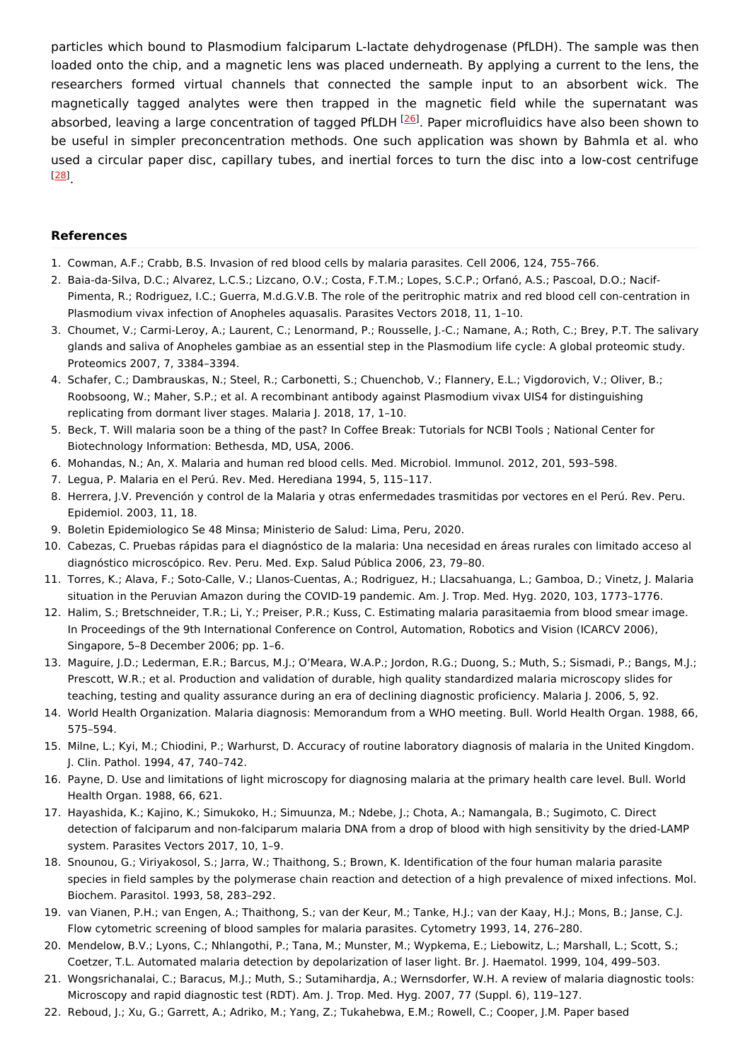particles which bound to Plasmodium falciparum L-lactate dehydrogenase (PfLDH). The sample was then loaded onto the chip, and a magnetic lens was placed underneath. By applying a current to the lens, the researchers formed virtual channels that connected the sample input to an absorbent wick. The magnetically tagged analytes were then trapped in the magnetic field while the supernatant was absorbed, leaving a large concentration of tagged PfLDH <sup>[\[26](#page-4-4)]</sup>. Paper microfluidics have also been shown to be useful in simpler preconcentration methods. One such application was shown by Bahmla et al. who used a circular paper disc, capillary tubes, and inertial forces to turn the disc into a low-cost centrifuge . [[28](#page-4-6)]

#### **References**

- <span id="page-3-0"></span>1. Cowman, A.F.; Crabb, B.S. Invasion of red blood cells by malaria parasites. Cell 2006, 124, 755–766.
- <span id="page-3-1"></span>2. Baia-da-Silva, D.C.; Alvarez, L.C.S.; Lizcano, O.V.; Costa, F.T.M.; Lopes, S.C.P.; Orfanó, A.S.; Pascoal, D.O.; Nacif-Pimenta, R.; Rodriguez, I.C.; Guerra, M.d.G.V.B. The role of the peritrophic matrix and red blood cell con-centration in Plasmodium vivax infection of Anopheles aquasalis. Parasites Vectors 2018, 11, 1–10.
- <span id="page-3-2"></span>3. Choumet, V.; Carmi-Leroy, A.; Laurent, C.; Lenormand, P.; Rousselle, J.-C.; Namane, A.; Roth, C.; Brey, P.T. The salivary glands and saliva of Anopheles gambiae as an essential step in the Plasmodium life cycle: A global proteomic study. Proteomics 2007, 7, 3384–3394.
- <span id="page-3-3"></span>4. Schafer, C.; Dambrauskas, N.; Steel, R.; Carbonetti, S.; Chuenchob, V.; Flannery, E.L.; Vigdorovich, V.; Oliver, B.; Roobsoong, W.; Maher, S.P.; et al. A recombinant antibody against Plasmodium vivax UIS4 for distinguishing replicating from dormant liver stages. Malaria J. 2018, 17, 1–10.
- <span id="page-3-4"></span>5. Beck, T. Will malaria soon be a thing of the past? In Coffee Break: Tutorials for NCBI Tools ; National Center for Biotechnology Information: Bethesda, MD, USA, 2006.
- <span id="page-3-5"></span>6. Mohandas, N.; An, X. Malaria and human red blood cells. Med. Microbiol. Immunol. 2012, 201, 593–598.
- <span id="page-3-6"></span>7. Legua, P. Malaria en el Perú. Rev. Med. Herediana 1994, 5, 115–117.
- <span id="page-3-7"></span>8. Herrera, J.V. Prevención y control de la Malaria y otras enfermedades trasmitidas por vectores en el Perú. Rev. Peru. Epidemiol. 2003, 11, 18.
- <span id="page-3-8"></span>9. Boletin Epidemiologico Se 48 Minsa; Ministerio de Salud: Lima, Peru, 2020.
- <span id="page-3-9"></span>10. Cabezas, C. Pruebas rápidas para el diagnóstico de la malaria: Una necesidad en áreas rurales con limitado acceso al diagnóstico microscópico. Rev. Peru. Med. Exp. Salud Pública 2006, 23, 79–80.
- <span id="page-3-10"></span>11. Torres, K.; Alava, F.; Soto-Calle, V.; Llanos-Cuentas, A.; Rodriguez, H.; Llacsahuanga, L.; Gamboa, D.; Vinetz, J. Malaria situation in the Peruvian Amazon during the COVID-19 pandemic. Am. J. Trop. Med. Hyg. 2020, 103, 1773–1776.
- <span id="page-3-11"></span>12. Halim, S.; Bretschneider, T.R.; Li, Y.; Preiser, P.R.; Kuss, C. Estimating malaria parasitaemia from blood smear image. In Proceedings of the 9th International Conference on Control, Automation, Robotics and Vision (ICARCV 2006), Singapore, 5–8 December 2006; pp. 1–6.
- <span id="page-3-12"></span>13. Maguire, J.D.; Lederman, E.R.; Barcus, M.J.; O'Meara, W.A.P.; Jordon, R.G.; Duong, S.; Muth, S.; Sismadi, P.; Bangs, M.J.; Prescott, W.R.; et al. Production and validation of durable, high quality standardized malaria microscopy slides for teaching, testing and quality assurance during an era of declining diagnostic proficiency. Malaria J. 2006, 5, 92.
- <span id="page-3-13"></span>14. World Health Organization. Malaria diagnosis: Memorandum from a WHO meeting. Bull. World Health Organ. 1988, 66, 575–594.
- <span id="page-3-14"></span>15. Milne, L.; Kyi, M.; Chiodini, P.; Warhurst, D. Accuracy of routine laboratory diagnosis of malaria in the United Kingdom. J. Clin. Pathol. 1994, 47, 740–742.
- <span id="page-3-15"></span>16. Payne, D. Use and limitations of light microscopy for diagnosing malaria at the primary health care level. Bull. World Health Organ. 1988, 66, 621.
- <span id="page-3-16"></span>17. Hayashida, K.; Kajino, K.; Simukoko, H.; Simuunza, M.; Ndebe, J.; Chota, A.; Namangala, B.; Sugimoto, C. Direct detection of falciparum and non-falciparum malaria DNA from a drop of blood with high sensitivity by the dried-LAMP system. Parasites Vectors 2017, 10, 1–9.
- <span id="page-3-17"></span>18. Snounou, G.; Viriyakosol, S.; Jarra, W.; Thaithong, S.; Brown, K. Identification of the four human malaria parasite species in field samples by the polymerase chain reaction and detection of a high prevalence of mixed infections. Mol. Biochem. Parasitol. 1993, 58, 283–292.
- <span id="page-3-18"></span>19. van Vianen, P.H.; van Engen, A.; Thaithong, S.; van der Keur, M.; Tanke, H.J.; van der Kaay, H.J.; Mons, B.; Janse, C.J. Flow cytometric screening of blood samples for malaria parasites. Cytometry 1993, 14, 276–280.
- <span id="page-3-19"></span>20. Mendelow, B.V.; Lyons, C.; Nhlangothi, P.; Tana, M.; Munster, M.; Wypkema, E.; Liebowitz, L.; Marshall, L.; Scott, S.; Coetzer, T.L. Automated malaria detection by depolarization of laser light. Br. J. Haematol. 1999, 104, 499–503.
- <span id="page-3-20"></span>21. Wongsrichanalai, C.; Baracus, M.J.; Muth, S.; Sutamihardja, A.; Wernsdorfer, W.H. A review of malaria diagnostic tools: Microscopy and rapid diagnostic test (RDT). Am. J. Trop. Med. Hyg. 2007, 77 (Suppl. 6), 119–127.
- 22. Reboud, J.; Xu, G.; Garrett, A.; Adriko, M.; Yang, Z.; Tukahebwa, E.M.; Rowell, C.; Cooper, J.M. Paper based